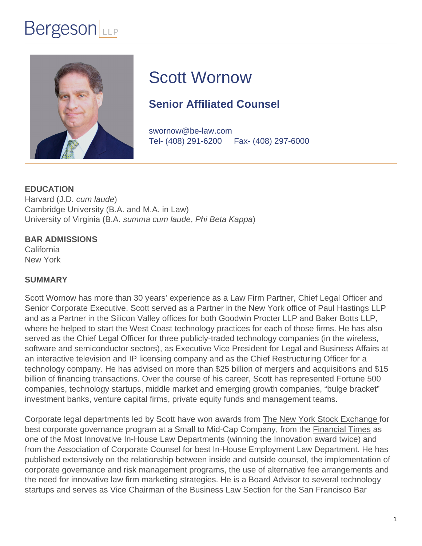# **Bergeson**



# Scott Wornow

## **Senior Affiliated Counsel**

swornow@be-law.com Tel- (408) 291-6200 Fax- (408) 297-6000

**EDUCATION** Harvard (J.D. cum laude) Cambridge University (B.A. and M.A. in Law) University of Virginia (B.A. summa cum laude, Phi Beta Kappa)

### **BAR ADMISSIONS**

California New York

### **SUMMARY**

Scott Wornow has more than 30 years' experience as a Law Firm Partner, Chief Legal Officer and Senior Corporate Executive. Scott served as a Partner in the New York office of Paul Hastings LLP and as a Partner in the Silicon Valley offices for both Goodwin Procter LLP and Baker Botts LLP, where he helped to start the West Coast technology practices for each of those firms. He has also served as the Chief Legal Officer for three publicly-traded technology companies (in the wireless, software and semiconductor sectors), as Executive Vice President for Legal and Business Affairs at an interactive television and IP licensing company and as the Chief Restructuring Officer for a technology company. He has advised on more than \$25 billion of mergers and acquisitions and \$15 billion of financing transactions. Over the course of his career, Scott has represented Fortune 500 companies, technology startups, middle market and emerging growth companies, "bulge bracket" investment banks, venture capital firms, private equity funds and management teams.

Corporate legal departments led by Scott have won awards from The New York Stock Exchange for best corporate governance program at a Small to Mid-Cap Company, from the Financial Times as one of the Most Innovative In-House Law Departments (winning the Innovation award twice) and from the Association of Corporate Counsel for best In-House Employment Law Department. He has published extensively on the relationship between inside and outside counsel, the implementation of corporate governance and risk management programs, the use of alternative fee arrangements and the need for innovative law firm marketing strategies. He is a Board Advisor to several technology startups and serves as Vice Chairman of the Business Law Section for the San Francisco Bar